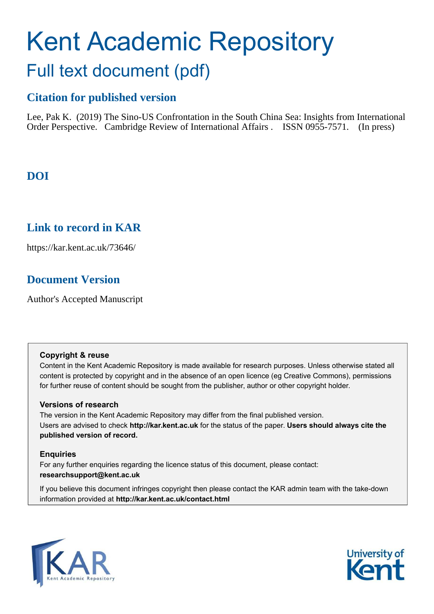# Kent Academic Repository Full text document (pdf)

# **Citation for published version**

Lee, Pak K. (2019) The Sino-US Confrontation in the South China Sea: Insights from International Order Perspective. Cambridge Review of International Affairs . ISSN 0955-7571. (In press)

# **DOI**

# **Link to record in KAR**

https://kar.kent.ac.uk/73646/

# **Document Version**

Author's Accepted Manuscript

#### **Copyright & reuse**

Content in the Kent Academic Repository is made available for research purposes. Unless otherwise stated all content is protected by copyright and in the absence of an open licence (eg Creative Commons), permissions for further reuse of content should be sought from the publisher, author or other copyright holder.

#### **Versions of research**

The version in the Kent Academic Repository may differ from the final published version. Users are advised to check **http://kar.kent.ac.uk** for the status of the paper. **Users should always cite the published version of record.**

#### **Enquiries**

For any further enquiries regarding the licence status of this document, please contact: **researchsupport@kent.ac.uk**

If you believe this document infringes copyright then please contact the KAR admin team with the take-down information provided at **http://kar.kent.ac.uk/contact.html**



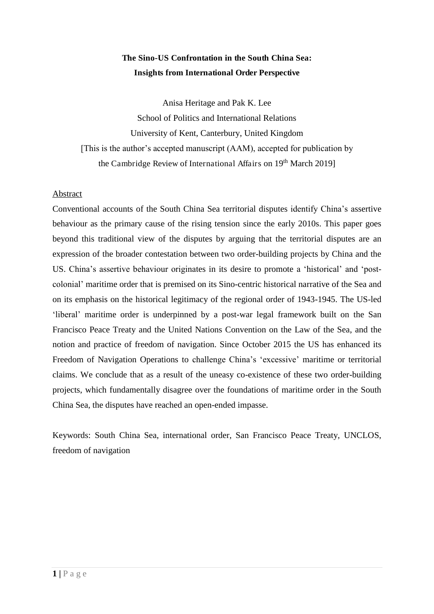### **The Sino-US Confrontation in the South China Sea: Insights from International Order Perspective**

Anisa Heritage and Pak K. Lee School of Politics and International Relations University of Kent, Canterbury, United Kingdom [This is the author's accepted manuscript (AAM), accepted for publication by the Cambridge Review of International Affairs on 19<sup>th</sup> March 2019]

#### Abstract

Conventional accounts of the South China Sea territorial disputes identify China's assertive behaviour as the primary cause of the rising tension since the early 2010s. This paper goes beyond this traditional view of the disputes by arguing that the territorial disputes are an expression of the broader contestation between two order-building projects by China and the US. China's assertive behaviour originates in its desire to promote a 'historical' and 'postcolonial' maritime order that is premised on its Sino-centric historical narrative of the Sea and on its emphasis on the historical legitimacy of the regional order of 1943-1945. The US-led 'liberal' maritime order is underpinned by a post-war legal framework built on the San Francisco Peace Treaty and the United Nations Convention on the Law of the Sea, and the notion and practice of freedom of navigation. Since October 2015 the US has enhanced its Freedom of Navigation Operations to challenge China's 'excessive' maritime or territorial claims. We conclude that as a result of the uneasy co-existence of these two order-building projects, which fundamentally disagree over the foundations of maritime order in the South China Sea, the disputes have reached an open-ended impasse.

Keywords: South China Sea, international order, San Francisco Peace Treaty, UNCLOS, freedom of navigation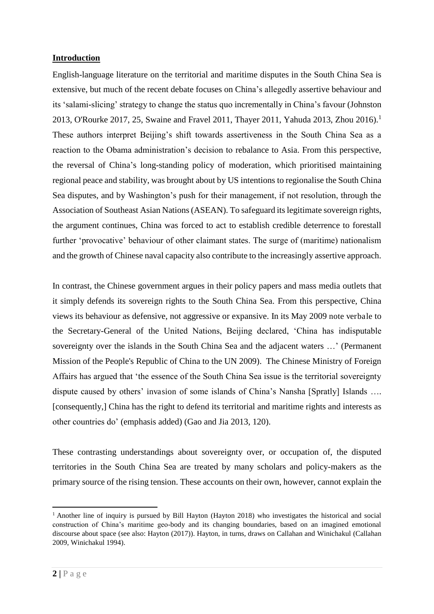#### **Introduction**

English-language literature on the territorial and maritime disputes in the South China Sea is extensive, but much of the recent debate focuses on China's allegedly assertive behaviour and its 'salami-slicing' strategy to change the status quo incrementally in China's favour (Johnston 2013, O'Rourke 2017, 25, Swaine and Fravel 2011, Thayer 2011, Yahuda 2013, Zhou 2016).<sup>1</sup> These authors interpret Beijing's shift towards assertiveness in the South China Sea as a reaction to the Obama administration's decision to rebalance to Asia. From this perspective, the reversal of China's long-standing policy of moderation, which prioritised maintaining regional peace and stability, was brought about by US intentions to regionalise the South China Sea disputes, and by Washington's push for their management, if not resolution, through the Association of Southeast Asian Nations (ASEAN). To safeguard its legitimate sovereign rights, the argument continues, China was forced to act to establish credible deterrence to forestall further 'provocative' behaviour of other claimant states. The surge of (maritime) nationalism and the growth of Chinese naval capacity also contribute to the increasingly assertive approach.

In contrast, the Chinese government argues in their policy papers and mass media outlets that it simply defends its sovereign rights to the South China Sea. From this perspective, China views its behaviour as defensive, not aggressive or expansive. In its May 2009 note verbale to the Secretary-General of the United Nations, Beijing declared, 'China has indisputable sovereignty over the islands in the South China Sea and the adjacent waters …' (Permanent Mission of the People's Republic of China to the UN 2009). The Chinese Ministry of Foreign Affairs has argued that 'the essence of the South China Sea issue is the territorial sovereignty dispute caused by others' invasion of some islands of China's Nansha [Spratly] Islands …. [consequently,] China has the right to defend its territorial and maritime rights and interests as other countries do' (emphasis added) (Gao and Jia 2013, 120).

These contrasting understandings about sovereignty over, or occupation of, the disputed territories in the South China Sea are treated by many scholars and policy-makers as the primary source of the rising tension. These accounts on their own, however, cannot explain the

<sup>&</sup>lt;sup>1</sup> Another line of inquiry is pursued by Bill Hayton (Hayton 2018) who investigates the historical and social construction of China's maritime geo-body and its changing boundaries, based on an imagined emotional discourse about space (see also: Hayton (2017)). Hayton, in turns, draws on Callahan and Winichakul (Callahan 2009, Winichakul 1994).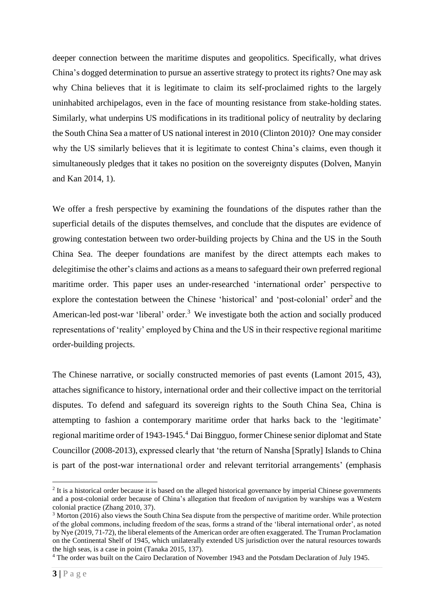deeper connection between the maritime disputes and geopolitics. Specifically, what drives China's dogged determination to pursue an assertive strategy to protect its rights? One may ask why China believes that it is legitimate to claim its self-proclaimed rights to the largely uninhabited archipelagos, even in the face of mounting resistance from stake-holding states. Similarly, what underpins US modifications in its traditional policy of neutrality by declaring the South China Sea a matter of US national interest in 2010 (Clinton 2010)? One may consider why the US similarly believes that it is legitimate to contest China's claims, even though it simultaneously pledges that it takes no position on the sovereignty disputes (Dolven, Manyin and Kan 2014, 1).

We offer a fresh perspective by examining the foundations of the disputes rather than the superficial details of the disputes themselves, and conclude that the disputes are evidence of growing contestation between two order-building projects by China and the US in the South China Sea. The deeper foundations are manifest by the direct attempts each makes to delegitimise the other's claims and actions as a means to safeguard their own preferred regional maritime order. This paper uses an under-researched 'international order' perspective to explore the contestation between the Chinese 'historical' and 'post-colonial' order<sup>2</sup> and the American-led post-war 'liberal' order.<sup>3</sup> We investigate both the action and socially produced representations of 'reality' employed by China and the US in their respective regional maritime order-building projects.

The Chinese narrative, or socially constructed memories of past events (Lamont 2015, 43), attaches significance to history, international order and their collective impact on the territorial disputes. To defend and safeguard its sovereign rights to the South China Sea, China is attempting to fashion a contemporary maritime order that harks back to the 'legitimate' regional maritime order of 1943-1945.<sup>4</sup> Dai Bingguo, former Chinese senior diplomat and State Councillor (2008-2013), expressed clearly that 'the return of Nansha [Spratly] Islands to China is part of the post-war international order and relevant territorial arrangements' (emphasis

<sup>&</sup>lt;sup>2</sup> It is a historical order because it is based on the alleged historical governance by imperial Chinese governments and a post-colonial order because of China's allegation that freedom of navigation by warships was a Western colonial practice (Zhang 2010, 37).

<sup>&</sup>lt;sup>3</sup> Morton (2016) also views the South China Sea dispute from the perspective of maritime order. While protection of the global commons, including freedom of the seas, forms a strand of the 'liberal international order', as noted by Nye (2019, 71-72), the liberal elements of the American order are often exaggerated. The Truman Proclamation on the Continental Shelf of 1945, which unilaterally extended US jurisdiction over the natural resources towards the high seas, is a case in point (Tanaka 2015, 137).

<sup>&</sup>lt;sup>4</sup> The order was built on the Cairo Declaration of November 1943 and the Potsdam Declaration of July 1945.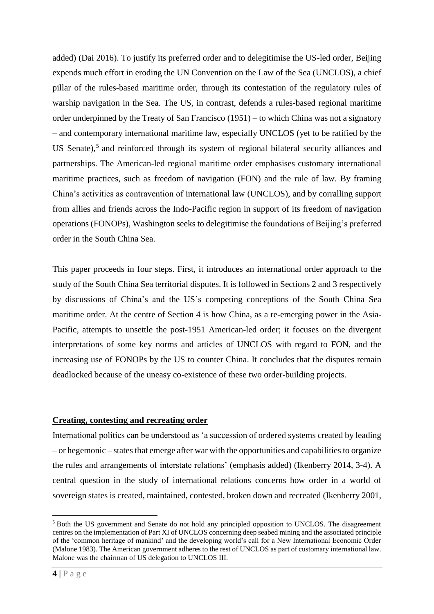added) (Dai 2016). To justify its preferred order and to delegitimise the US-led order, Beijing expends much effort in eroding the UN Convention on the Law of the Sea (UNCLOS), a chief pillar of the rules-based maritime order, through its contestation of the regulatory rules of warship navigation in the Sea. The US, in contrast, defends a rules-based regional maritime order underpinned by the Treaty of San Francisco (1951) – to which China was not a signatory – and contemporary international maritime law, especially UNCLOS (yet to be ratified by the US Senate),<sup>5</sup> and reinforced through its system of regional bilateral security alliances and partnerships. The American-led regional maritime order emphasises customary international maritime practices, such as freedom of navigation (FON) and the rule of law. By framing China's activities as contravention of international law (UNCLOS), and by corralling support from allies and friends across the Indo-Pacific region in support of its freedom of navigation operations (FONOPs), Washington seeks to delegitimise the foundations of Beijing's preferred order in the South China Sea.

This paper proceeds in four steps. First, it introduces an international order approach to the study of the South China Sea territorial disputes. It is followed in Sections 2 and 3 respectively by discussions of China's and the US's competing conceptions of the South China Sea maritime order. At the centre of Section 4 is how China, as a re-emerging power in the Asia-Pacific, attempts to unsettle the post-1951 American-led order; it focuses on the divergent interpretations of some key norms and articles of UNCLOS with regard to FON, and the increasing use of FONOPs by the US to counter China. It concludes that the disputes remain deadlocked because of the uneasy co-existence of these two order-building projects.

#### **Creating, contesting and recreating order**

International politics can be understood as 'a succession of ordered systems created by leading – or hegemonic – states that emerge after war with the opportunities and capabilities to organize the rules and arrangements of interstate relations' (emphasis added) (Ikenberry 2014, 3-4). A central question in the study of international relations concerns how order in a world of sovereign states is created, maintained, contested, broken down and recreated (Ikenberry 2001,

<sup>&</sup>lt;sup>5</sup> Both the US government and Senate do not hold any principled opposition to UNCLOS. The disagreement centres on the implementation of Part XI of UNCLOS concerning deep seabed mining and the associated principle of the 'common heritage of mankind' and the developing world's call for a New International Economic Order (Malone 1983). The American government adheres to the rest of UNCLOS as part of customary international law. Malone was the chairman of US delegation to UNCLOS III.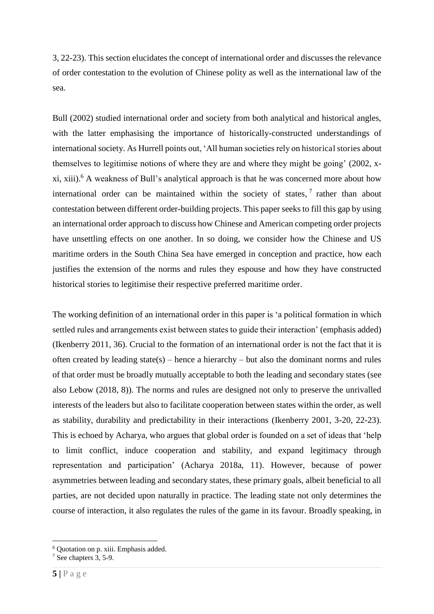3, 22-23). This section elucidates the concept of international order and discusses the relevance of order contestation to the evolution of Chinese polity as well as the international law of the sea.

Bull (2002) studied international order and society from both analytical and historical angles, with the latter emphasising the importance of historically-constructed understandings of international society. As Hurrell points out, 'All human societies rely on historical stories about themselves to legitimise notions of where they are and where they might be going' (2002, xxi, xiii).<sup>6</sup> A weakness of Bull's analytical approach is that he was concerned more about how international order can be maintained within the society of states,  $\frac{7}{1}$  rather than about contestation between different order-building projects. This paper seeks to fill this gap by using an international order approach to discuss how Chinese and American competing order projects have unsettling effects on one another. In so doing, we consider how the Chinese and US maritime orders in the South China Sea have emerged in conception and practice, how each justifies the extension of the norms and rules they espouse and how they have constructed historical stories to legitimise their respective preferred maritime order.

The working definition of an international order in this paper is 'a political formation in which settled rules and arrangements exist between states to guide their interaction' (emphasis added) (Ikenberry 2011, 36). Crucial to the formation of an international order is not the fact that it is often created by leading state(s) – hence a hierarchy – but also the dominant norms and rules of that order must be broadly mutually acceptable to both the leading and secondary states (see also Lebow (2018, 8)). The norms and rules are designed not only to preserve the unrivalled interests of the leaders but also to facilitate cooperation between states within the order, as well as stability, durability and predictability in their interactions (Ikenberry 2001, 3-20, 22-23). This is echoed by Acharya, who argues that global order is founded on a set of ideas that 'help to limit conflict, induce cooperation and stability, and expand legitimacy through representation and participation' (Acharya 2018a, 11). However, because of power asymmetries between leading and secondary states, these primary goals, albeit beneficial to all parties, are not decided upon naturally in practice. The leading state not only determines the course of interaction, it also regulates the rules of the game in its favour. Broadly speaking, in

<sup>6</sup> Quotation on p. xiii. Emphasis added.

<sup>&</sup>lt;sup>7</sup> See chapters 3, 5-9.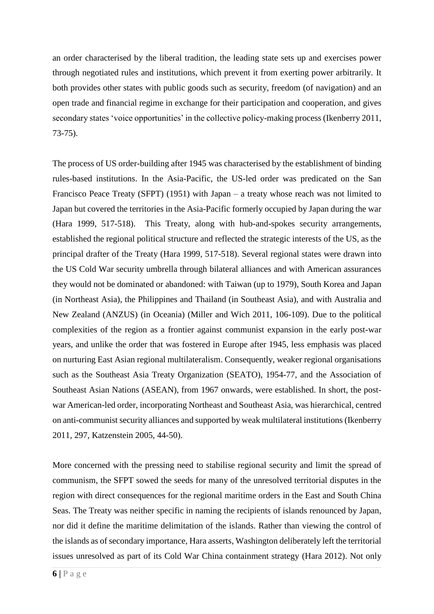an order characterised by the liberal tradition, the leading state sets up and exercises power through negotiated rules and institutions, which prevent it from exerting power arbitrarily. It both provides other states with public goods such as security, freedom (of navigation) and an open trade and financial regime in exchange for their participation and cooperation, and gives secondary states 'voice opportunities' in the collective policy-making process (Ikenberry 2011, 73-75).

The process of US order-building after 1945 was characterised by the establishment of binding rules-based institutions. In the Asia-Pacific, the US-led order was predicated on the San Francisco Peace Treaty (SFPT) (1951) with Japan – a treaty whose reach was not limited to Japan but covered the territories in the Asia-Pacific formerly occupied by Japan during the war (Hara 1999, 517-518). This Treaty, along with hub-and-spokes security arrangements, established the regional political structure and reflected the strategic interests of the US, as the principal drafter of the Treaty (Hara 1999, 517-518). Several regional states were drawn into the US Cold War security umbrella through bilateral alliances and with American assurances they would not be dominated or abandoned: with Taiwan (up to 1979), South Korea and Japan (in Northeast Asia), the Philippines and Thailand (in Southeast Asia), and with Australia and New Zealand (ANZUS) (in Oceania) (Miller and Wich 2011, 106-109). Due to the political complexities of the region as a frontier against communist expansion in the early post-war years, and unlike the order that was fostered in Europe after 1945, less emphasis was placed on nurturing East Asian regional multilateralism. Consequently, weaker regional organisations such as the Southeast Asia Treaty Organization (SEATO), 1954-77, and the Association of Southeast Asian Nations (ASEAN), from 1967 onwards, were established. In short, the postwar American-led order, incorporating Northeast and Southeast Asia, was hierarchical, centred on anti-communist security alliances and supported by weak multilateral institutions (Ikenberry 2011, 297, Katzenstein 2005, 44-50).

More concerned with the pressing need to stabilise regional security and limit the spread of communism, the SFPT sowed the seeds for many of the unresolved territorial disputes in the region with direct consequences for the regional maritime orders in the East and South China Seas. The Treaty was neither specific in naming the recipients of islands renounced by Japan, nor did it define the maritime delimitation of the islands. Rather than viewing the control of the islands as of secondary importance, Hara asserts, Washington deliberately left the territorial issues unresolved as part of its Cold War China containment strategy (Hara 2012). Not only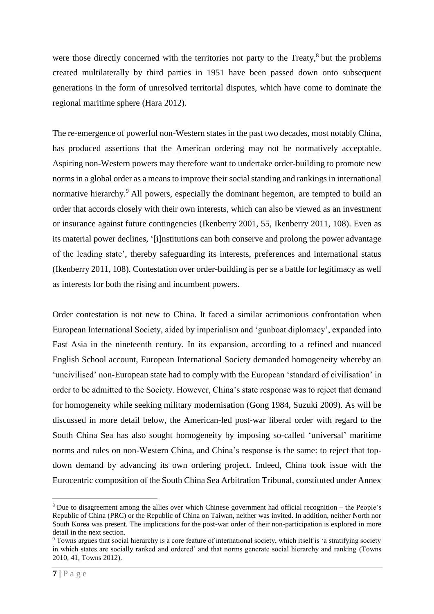were those directly concerned with the territories not party to the Treaty,<sup>8</sup> but the problems created multilaterally by third parties in 1951 have been passed down onto subsequent generations in the form of unresolved territorial disputes, which have come to dominate the regional maritime sphere (Hara 2012).

The re-emergence of powerful non-Western states in the past two decades, most notably China, has produced assertions that the American ordering may not be normatively acceptable. Aspiring non-Western powers may therefore want to undertake order-building to promote new norms in a global order as a means to improve their social standing and rankings in international normative hierarchy.<sup>9</sup> All powers, especially the dominant hegemon, are tempted to build an order that accords closely with their own interests, which can also be viewed as an investment or insurance against future contingencies (Ikenberry 2001, 55, Ikenberry 2011, 108). Even as its material power declines, '[i]nstitutions can both conserve and prolong the power advantage of the leading state', thereby safeguarding its interests, preferences and international status (Ikenberry 2011, 108). Contestation over order-building is per se a battle for legitimacy as well as interests for both the rising and incumbent powers.

Order contestation is not new to China. It faced a similar acrimonious confrontation when European International Society, aided by imperialism and 'gunboat diplomacy', expanded into East Asia in the nineteenth century. In its expansion, according to a refined and nuanced English School account, European International Society demanded homogeneity whereby an 'uncivilised' non-European state had to comply with the European 'standard of civilisation' in order to be admitted to the Society. However, China's state response was to reject that demand for homogeneity while seeking military modernisation (Gong 1984, Suzuki 2009). As will be discussed in more detail below, the American-led post-war liberal order with regard to the South China Sea has also sought homogeneity by imposing so-called 'universal' maritime norms and rules on non-Western China, and China's response is the same: to reject that topdown demand by advancing its own ordering project. Indeed, China took issue with the Eurocentric composition of the South China Sea Arbitration Tribunal, constituted under Annex

-

<sup>&</sup>lt;sup>8</sup> Due to disagreement among the allies over which Chinese government had official recognition – the People's Republic of China (PRC) or the Republic of China on Taiwan, neither was invited. In addition, neither North nor South Korea was present. The implications for the post-war order of their non-participation is explored in more detail in the next section.

<sup>9</sup> Towns argues that social hierarchy is a core feature of international society, which itself is 'a stratifying society in which states are socially ranked and ordered' and that norms generate social hierarchy and ranking (Towns 2010, 41, Towns 2012).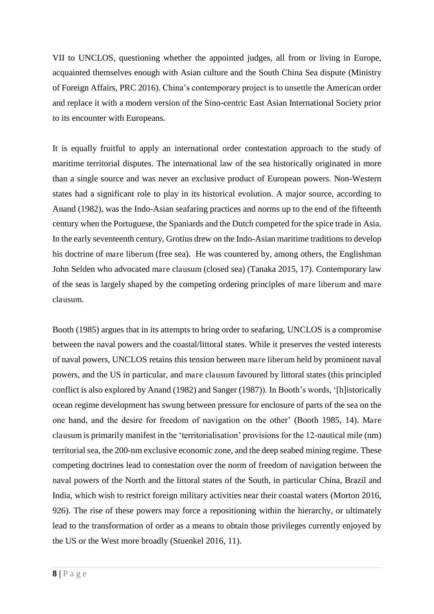VII to UNCLOS, questioning whether the appointed judges, all from or living in Europe, acquainted themselves enough with Asian culture and the South China Sea dispute (Ministry of Foreign Affairs, PRC 2016). China's contemporary project is to unsettle the American order and replace it with a modern version of the Sino-centric East Asian International Society prior to its encounter with Europeans.

It is equally fruitful to apply an international order contestation approach to the study of maritime territorial disputes. The international law of the sea historically originated in more than a single source and was never an exclusive product of European powers. Non-Western states had a significant role to play in its historical evolution. A major source, according to Anand (1982), was the Indo-Asian seafaring practices and norms up to the end of the fifteenth century when the Portuguese, the Spaniards and the Dutch competed for the spice trade in Asia. In the early seventeenth century, Grotius drew on the Indo-Asian maritime traditions to develop his doctrine of mare liberum (free sea). He was countered by, among others, the Englishman John Selden who advocated mare clausum (closed sea) (Tanaka 2015, 17). Contemporary law of the seas is largely shaped by the competing ordering principles of mare liberum and mare clausum.

Booth (1985) argues that in its attempts to bring order to seafaring, UNCLOS is a compromise between the naval powers and the coastal/littoral states. While it preserves the vested interests of naval powers, UNCLOS retains this tension between mare liberum held by prominent naval powers, and the US in particular, and mare clausum favoured by littoral states (this principled conflict is also explored by Anand (1982) and Sanger (1987)). In Booth's words, '[h]istorically ocean regime development has swung between pressure for enclosure of parts of the sea on the one hand, and the desire for freedom of navigation on the other' (Booth 1985, 14). Mare clausum is primarily manifest in the 'territorialisation' provisions for the 12-nautical mile (nm) territorial sea, the 200-nm exclusive economic zone, and the deep seabed mining regime. These competing doctrines lead to contestation over the norm of freedom of navigation between the naval powers of the North and the littoral states of the South, in particular China, Brazil and India, which wish to restrict foreign military activities near their coastal waters (Morton 2016, 926). The rise of these powers may force a repositioning within the hierarchy, or ultimately lead to the transformation of order as a means to obtain those privileges currently enjoyed by the US or the West more broadly (Stuenkel 2016, 11).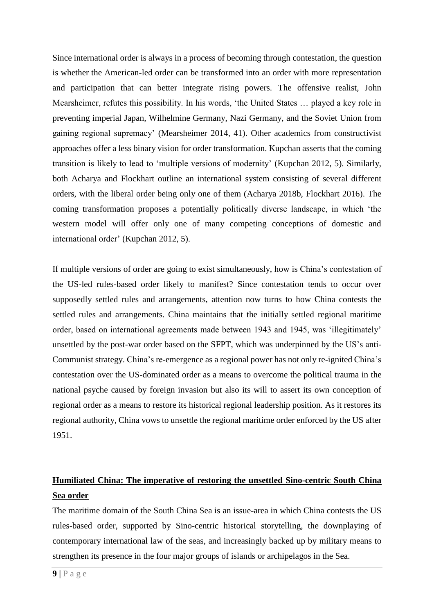Since international order is always in a process of becoming through contestation, the question is whether the American-led order can be transformed into an order with more representation and participation that can better integrate rising powers. The offensive realist, John Mearsheimer, refutes this possibility. In his words, 'the United States … played a key role in preventing imperial Japan, Wilhelmine Germany, Nazi Germany, and the Soviet Union from gaining regional supremacy' (Mearsheimer 2014, 41). Other academics from constructivist approaches offer a less binary vision for order transformation. Kupchan asserts that the coming transition is likely to lead to 'multiple versions of modernity' (Kupchan 2012, 5). Similarly, both Acharya and Flockhart outline an international system consisting of several different orders, with the liberal order being only one of them (Acharya 2018b, Flockhart 2016). The coming transformation proposes a potentially politically diverse landscape, in which 'the western model will offer only one of many competing conceptions of domestic and international order' (Kupchan 2012, 5).

If multiple versions of order are going to exist simultaneously, how is China's contestation of the US-led rules-based order likely to manifest? Since contestation tends to occur over supposedly settled rules and arrangements, attention now turns to how China contests the settled rules and arrangements. China maintains that the initially settled regional maritime order, based on international agreements made between 1943 and 1945, was 'illegitimately' unsettled by the post-war order based on the SFPT, which was underpinned by the US's anti-Communist strategy. China's re-emergence as a regional power has not only re-ignited China's contestation over the US-dominated order as a means to overcome the political trauma in the national psyche caused by foreign invasion but also its will to assert its own conception of regional order as a means to restore its historical regional leadership position. As it restores its regional authority, China vows to unsettle the regional maritime order enforced by the US after 1951.

## **Humiliated China: The imperative of restoring the unsettled Sino-centric South China Sea order**

The maritime domain of the South China Sea is an issue-area in which China contests the US rules-based order, supported by Sino-centric historical storytelling, the downplaying of contemporary international law of the seas, and increasingly backed up by military means to strengthen its presence in the four major groups of islands or archipelagos in the Sea.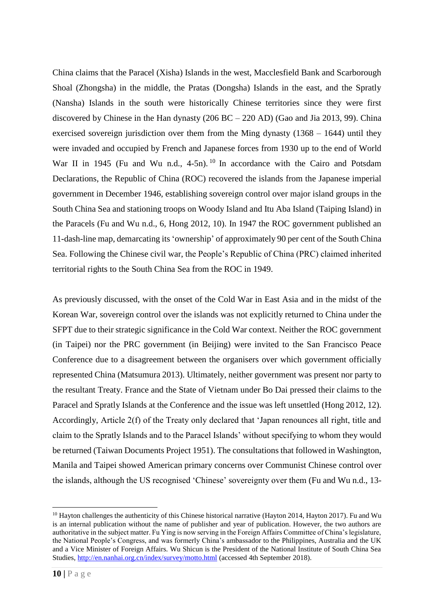China claims that the Paracel (Xisha) Islands in the west, Macclesfield Bank and Scarborough Shoal (Zhongsha) in the middle, the Pratas (Dongsha) Islands in the east, and the Spratly (Nansha) Islands in the south were historically Chinese territories since they were first discovered by Chinese in the Han dynasty (206 BC – 220 AD) (Gao and Jia 2013, 99). China exercised sovereign jurisdiction over them from the Ming dynasty (1368 – 1644) until they were invaded and occupied by French and Japanese forces from 1930 up to the end of World War II in 1945 (Fu and Wu n.d., 4-5n). <sup>10</sup> In accordance with the Cairo and Potsdam Declarations, the Republic of China (ROC) recovered the islands from the Japanese imperial government in December 1946, establishing sovereign control over major island groups in the South China Sea and stationing troops on Woody Island and Itu Aba Island (Taiping Island) in the Paracels (Fu and Wu n.d., 6, Hong 2012, 10). In 1947 the ROC government published an 11-dash-line map, demarcating its 'ownership' of approximately 90 per cent of the South China Sea. Following the Chinese civil war, the People's Republic of China (PRC) claimed inherited territorial rights to the South China Sea from the ROC in 1949.

As previously discussed, with the onset of the Cold War in East Asia and in the midst of the Korean War, sovereign control over the islands was not explicitly returned to China under the SFPT due to their strategic significance in the Cold War context. Neither the ROC government (in Taipei) nor the PRC government (in Beijing) were invited to the San Francisco Peace Conference due to a disagreement between the organisers over which government officially represented China (Matsumura 2013). Ultimately, neither government was present nor party to the resultant Treaty. France and the State of Vietnam under Bo Dai pressed their claims to the Paracel and Spratly Islands at the Conference and the issue was left unsettled (Hong 2012, 12). Accordingly, Article 2(f) of the Treaty only declared that 'Japan renounces all right, title and claim to the Spratly Islands and to the Paracel Islands' without specifying to whom they would be returned (Taiwan Documents Project 1951). The consultations that followed in Washington, Manila and Taipei showed American primary concerns over Communist Chinese control over the islands, although the US recognised 'Chinese' sovereignty over them (Fu and Wu n.d., 13-

-

<sup>&</sup>lt;sup>10</sup> Havton challenges the authenticity of this Chinese historical narrative (Hayton 2014, Hayton 2017). Fu and Wu is an internal publication without the name of publisher and year of publication. However, the two authors are authoritative in the subject matter. Fu Ying is now serving in the Foreign Affairs Committee of China's legislature, the National People's Congress, and was formerly China's ambassador to the Philippines, Australia and the UK and a Vice Minister of Foreign Affairs. Wu Shicun is the President of the National Institute of South China Sea Studies,<http://en.nanhai.org.cn/index/survey/motto.html>(accessed 4th September 2018).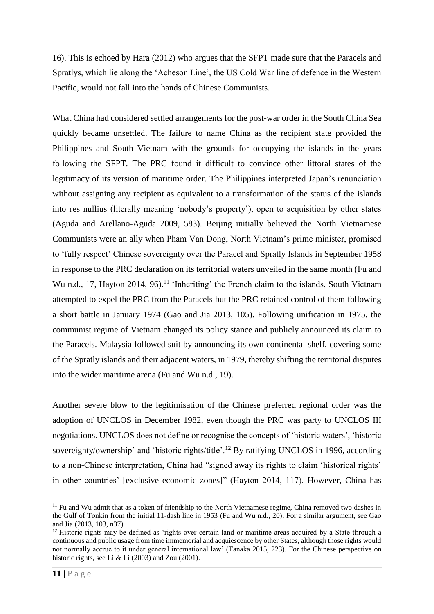16). This is echoed by Hara (2012) who argues that the SFPT made sure that the Paracels and Spratlys, which lie along the 'Acheson Line', the US Cold War line of defence in the Western Pacific, would not fall into the hands of Chinese Communists.

What China had considered settled arrangements for the post-war order in the South China Sea quickly became unsettled. The failure to name China as the recipient state provided the Philippines and South Vietnam with the grounds for occupying the islands in the years following the SFPT. The PRC found it difficult to convince other littoral states of the legitimacy of its version of maritime order. The Philippines interpreted Japan's renunciation without assigning any recipient as equivalent to a transformation of the status of the islands into res nullius (literally meaning 'nobody's property'), open to acquisition by other states (Aguda and Arellano-Aguda 2009, 583). Beijing initially believed the North Vietnamese Communists were an ally when Pham Van Dong, North Vietnam's prime minister, promised to 'fully respect' Chinese sovereignty over the Paracel and Spratly Islands in September 1958 in response to the PRC declaration on its territorial waters unveiled in the same month (Fu and Wu n.d., 17, Hayton 2014, 96).<sup>11</sup> 'Inheriting' the French claim to the islands, South Vietnam attempted to expel the PRC from the Paracels but the PRC retained control of them following a short battle in January 1974 (Gao and Jia 2013, 105). Following unification in 1975, the communist regime of Vietnam changed its policy stance and publicly announced its claim to the Paracels. Malaysia followed suit by announcing its own continental shelf, covering some of the Spratly islands and their adjacent waters, in 1979, thereby shifting the territorial disputes into the wider maritime arena (Fu and Wu n.d., 19).

Another severe blow to the legitimisation of the Chinese preferred regional order was the adoption of UNCLOS in December 1982, even though the PRC was party to UNCLOS III negotiations. UNCLOS does not define or recognise the concepts of 'historic waters', 'historic sovereignty/ownership' and 'historic rights/title'.<sup>12</sup> By ratifying UNCLOS in 1996, according to a non-Chinese interpretation, China had "signed away its rights to claim 'historical rights' in other countries' [exclusive economic zones]" (Hayton 2014, 117). However, China has

-

<sup>&</sup>lt;sup>11</sup> Fu and Wu admit that as a token of friendship to the North Vietnamese regime, China removed two dashes in the Gulf of Tonkin from the initial 11-dash line in 1953 (Fu and Wu n.d., 20). For a similar argument, see Gao and Jia (2013, 103, n37) .

<sup>&</sup>lt;sup>12</sup> Historic rights may be defined as 'rights over certain land or maritime areas acquired by a State through a continuous and public usage from time immemorial and acquiescence by other States, although those rights would not normally accrue to it under general international law' (Tanaka 2015, 223). For the Chinese perspective on historic rights, see Li & Li  $(2003)$  and Zou  $(2001)$ .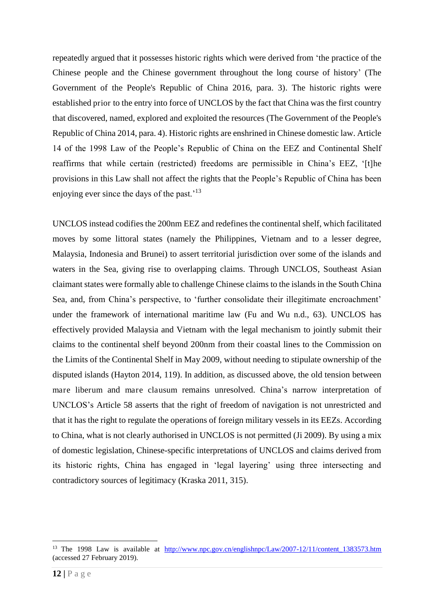repeatedly argued that it possesses historic rights which were derived from 'the practice of the Chinese people and the Chinese government throughout the long course of history' (The Government of the People's Republic of China 2016, para. 3). The historic rights were established prior to the entry into force of UNCLOS by the fact that China was the first country that discovered, named, explored and exploited the resources (The Government of the People's Republic of China 2014, para. 4). Historic rights are enshrined in Chinese domestic law. Article 14 of the 1998 Law of the People's Republic of China on the EEZ and Continental Shelf reaffirms that while certain (restricted) freedoms are permissible in China's EEZ, '[t]he provisions in this Law shall not affect the rights that the People's Republic of China has been enjoying ever since the days of the past.<sup>'13</sup>

UNCLOS instead codifies the 200nm EEZ and redefines the continental shelf, which facilitated moves by some littoral states (namely the Philippines, Vietnam and to a lesser degree, Malaysia, Indonesia and Brunei) to assert territorial jurisdiction over some of the islands and waters in the Sea, giving rise to overlapping claims. Through UNCLOS, Southeast Asian claimant states were formally able to challenge Chinese claims to the islands in the South China Sea, and, from China's perspective, to 'further consolidate their illegitimate encroachment' under the framework of international maritime law (Fu and Wu n.d., 63). UNCLOS has effectively provided Malaysia and Vietnam with the legal mechanism to jointly submit their claims to the continental shelf beyond 200nm from their coastal lines to the Commission on the Limits of the Continental Shelf in May 2009, without needing to stipulate ownership of the disputed islands (Hayton 2014, 119). In addition, as discussed above, the old tension between mare liberum and mare clausum remains unresolved. China's narrow interpretation of UNCLOS's Article 58 asserts that the right of freedom of navigation is not unrestricted and that it has the right to regulate the operations of foreign military vessels in its EEZs. According to China, what is not clearly authorised in UNCLOS is not permitted (Ji 2009). By using a mix of domestic legislation, Chinese-specific interpretations of UNCLOS and claims derived from its historic rights, China has engaged in 'legal layering' using three intersecting and contradictory sources of legitimacy (Kraska 2011, 315).

<sup>&</sup>lt;sup>13</sup> The 1998 Law is available at http://www.npc.gov.cn/englishnpc/Law/2007-12/11/content 1383573.htm (accessed 27 February 2019).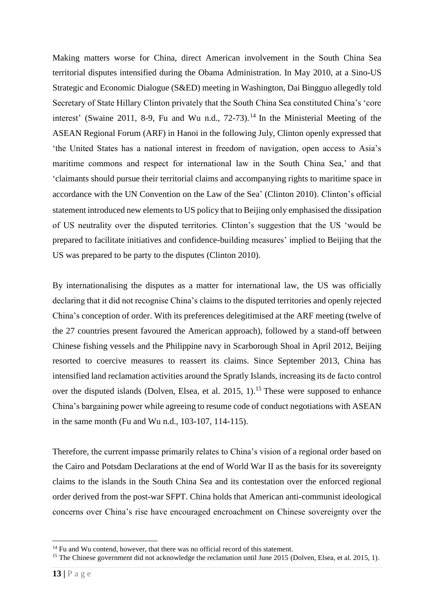Making matters worse for China, direct American involvement in the South China Sea territorial disputes intensified during the Obama Administration. In May 2010, at a Sino-US Strategic and Economic Dialogue (S&ED) meeting in Washington, Dai Bingguo allegedly told Secretary of State Hillary Clinton privately that the South China Sea constituted China's 'core interest' (Swaine 2011, 8-9, Fu and Wu n.d.,  $72-73$ ).<sup>14</sup> In the Ministerial Meeting of the ASEAN Regional Forum (ARF) in Hanoi in the following July, Clinton openly expressed that 'the United States has a national interest in freedom of navigation, open access to Asia's maritime commons and respect for international law in the South China Sea,' and that 'claimants should pursue their territorial claims and accompanying rights to maritime space in accordance with the UN Convention on the Law of the Sea' (Clinton 2010). Clinton's official statement introduced new elements to US policy that to Beijing only emphasised the dissipation of US neutrality over the disputed territories. Clinton's suggestion that the US 'would be prepared to facilitate initiatives and confidence-building measures' implied to Beijing that the US was prepared to be party to the disputes (Clinton 2010).

By internationalising the disputes as a matter for international law, the US was officially declaring that it did not recognise China's claims to the disputed territories and openly rejected China's conception of order. With its preferences delegitimised at the ARF meeting (twelve of the 27 countries present favoured the American approach), followed by a stand-off between Chinese fishing vessels and the Philippine navy in Scarborough Shoal in April 2012, Beijing resorted to coercive measures to reassert its claims. Since September 2013, China has intensified land reclamation activities around the Spratly Islands, increasing its de facto control over the disputed islands (Dolven, Elsea, et al. 2015, 1).<sup>15</sup> These were supposed to enhance China's bargaining power while agreeing to resume code of conduct negotiations with ASEAN in the same month (Fu and Wu n.d., 103-107, 114-115).

Therefore, the current impasse primarily relates to China's vision of a regional order based on the Cairo and Potsdam Declarations at the end of World War II as the basis for its sovereignty claims to the islands in the South China Sea and its contestation over the enforced regional order derived from the post-war SFPT. China holds that American anti-communist ideological concerns over China's rise have encouraged encroachment on Chinese sovereignty over the

 $14$  Fu and Wu contend, however, that there was no official record of this statement.

<sup>&</sup>lt;sup>15</sup> The Chinese government did not acknowledge the reclamation until June 2015 (Dolven, Elsea, et al. 2015, 1).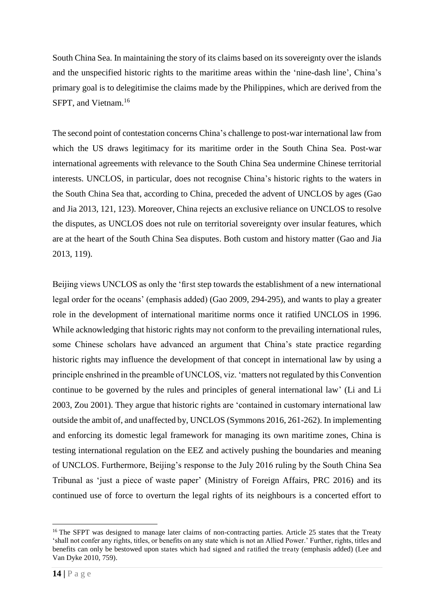South China Sea. In maintaining the story of its claims based on its sovereignty over the islands and the unspecified historic rights to the maritime areas within the 'nine-dash line', China's primary goal is to delegitimise the claims made by the Philippines, which are derived from the SFPT, and Vietnam.<sup>16</sup>

The second point of contestation concerns China's challenge to post-war international law from which the US draws legitimacy for its maritime order in the South China Sea. Post-war international agreements with relevance to the South China Sea undermine Chinese territorial interests. UNCLOS, in particular, does not recognise China's historic rights to the waters in the South China Sea that, according to China, preceded the advent of UNCLOS by ages (Gao and Jia 2013, 121, 123). Moreover, China rejects an exclusive reliance on UNCLOS to resolve the disputes, as UNCLOS does not rule on territorial sovereignty over insular features, which are at the heart of the South China Sea disputes. Both custom and history matter (Gao and Jia 2013, 119).

Beijing views UNCLOS as only the 'first step towards the establishment of a new international legal order for the oceans' (emphasis added) (Gao 2009, 294-295), and wants to play a greater role in the development of international maritime norms once it ratified UNCLOS in 1996. While acknowledging that historic rights may not conform to the prevailing international rules, some Chinese scholars have advanced an argument that China's state practice regarding historic rights may influence the development of that concept in international law by using a principle enshrined in the preamble of UNCLOS, viz. 'matters not regulated by this Convention continue to be governed by the rules and principles of general international law' (Li and Li 2003, Zou 2001). They argue that historic rights are 'contained in customary international law outside the ambit of, and unaffected by, UNCLOS (Symmons 2016, 261-262). In implementing and enforcing its domestic legal framework for managing its own maritime zones, China is testing international regulation on the EEZ and actively pushing the boundaries and meaning of UNCLOS. Furthermore, Beijing's response to the July 2016 ruling by the South China Sea Tribunal as 'just a piece of waste paper' (Ministry of Foreign Affairs, PRC 2016) and its continued use of force to overturn the legal rights of its neighbours is a concerted effort to

<sup>&</sup>lt;sup>16</sup> The SFPT was designed to manage later claims of non-contracting parties. Article 25 states that the Treaty 'shall not confer any rights, titles, or benefits on any state which is not an Allied Power.' Further, rights, titles and benefits can only be bestowed upon states which had signed and ratified the treaty (emphasis added) (Lee and Van Dyke 2010, 759).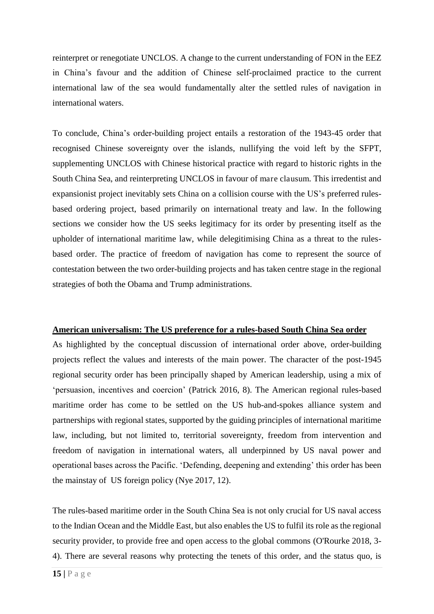reinterpret or renegotiate UNCLOS. A change to the current understanding of FON in the EEZ in China's favour and the addition of Chinese self-proclaimed practice to the current international law of the sea would fundamentally alter the settled rules of navigation in international waters.

To conclude, China's order-building project entails a restoration of the 1943-45 order that recognised Chinese sovereignty over the islands, nullifying the void left by the SFPT, supplementing UNCLOS with Chinese historical practice with regard to historic rights in the South China Sea, and reinterpreting UNCLOS in favour of mare clausum. This irredentist and expansionist project inevitably sets China on a collision course with the US's preferred rulesbased ordering project, based primarily on international treaty and law. In the following sections we consider how the US seeks legitimacy for its order by presenting itself as the upholder of international maritime law, while delegitimising China as a threat to the rulesbased order. The practice of freedom of navigation has come to represent the source of contestation between the two order-building projects and has taken centre stage in the regional strategies of both the Obama and Trump administrations.

#### **American universalism: The US preference for a rules-based South China Sea order**

As highlighted by the conceptual discussion of international order above, order-building projects reflect the values and interests of the main power. The character of the post-1945 regional security order has been principally shaped by American leadership, using a mix of 'persuasion, incentives and coercion' (Patrick 2016, 8). The American regional rules-based maritime order has come to be settled on the US hub-and-spokes alliance system and partnerships with regional states, supported by the guiding principles of international maritime law, including, but not limited to, territorial sovereignty, freedom from intervention and freedom of navigation in international waters, all underpinned by US naval power and operational bases across the Pacific. 'Defending, deepening and extending' this order has been the mainstay of US foreign policy (Nye 2017, 12).

The rules-based maritime order in the South China Sea is not only crucial for US naval access to the Indian Ocean and the Middle East, but also enables the US to fulfil its role as the regional security provider, to provide free and open access to the global commons (O'Rourke 2018, 3- 4). There are several reasons why protecting the tenets of this order, and the status quo, is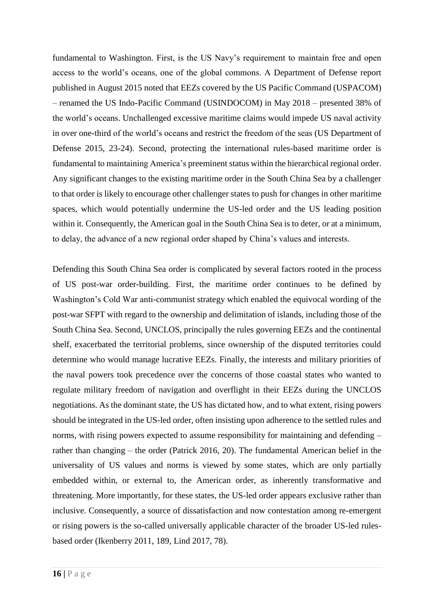fundamental to Washington. First, is the US Navy's requirement to maintain free and open access to the world's oceans, one of the global commons. A Department of Defense report published in August 2015 noted that EEZs covered by the US Pacific Command (USPACOM) – renamed the US Indo-Pacific Command (USINDOCOM) in May 2018 – presented 38% of the world's oceans. Unchallenged excessive maritime claims would impede US naval activity in over one-third of the world's oceans and restrict the freedom of the seas (US Department of Defense 2015, 23-24). Second, protecting the international rules-based maritime order is fundamental to maintaining America's preeminent status within the hierarchical regional order. Any significant changes to the existing maritime order in the South China Sea by a challenger to that order is likely to encourage other challenger states to push for changes in other maritime spaces, which would potentially undermine the US-led order and the US leading position within it. Consequently, the American goal in the South China Sea is to deter, or at a minimum, to delay, the advance of a new regional order shaped by China's values and interests.

Defending this South China Sea order is complicated by several factors rooted in the process of US post-war order-building. First, the maritime order continues to be defined by Washington's Cold War anti-communist strategy which enabled the equivocal wording of the post-war SFPT with regard to the ownership and delimitation of islands, including those of the South China Sea. Second, UNCLOS, principally the rules governing EEZs and the continental shelf, exacerbated the territorial problems, since ownership of the disputed territories could determine who would manage lucrative EEZs. Finally, the interests and military priorities of the naval powers took precedence over the concerns of those coastal states who wanted to regulate military freedom of navigation and overflight in their EEZs during the UNCLOS negotiations. As the dominant state, the US has dictated how, and to what extent, rising powers should be integrated in the US-led order, often insisting upon adherence to the settled rules and norms, with rising powers expected to assume responsibility for maintaining and defending – rather than changing – the order (Patrick 2016, 20). The fundamental American belief in the universality of US values and norms is viewed by some states, which are only partially embedded within, or external to, the American order, as inherently transformative and threatening. More importantly, for these states, the US-led order appears exclusive rather than inclusive. Consequently, a source of dissatisfaction and now contestation among re-emergent or rising powers is the so-called universally applicable character of the broader US-led rulesbased order (Ikenberry 2011, 189, Lind 2017, 78).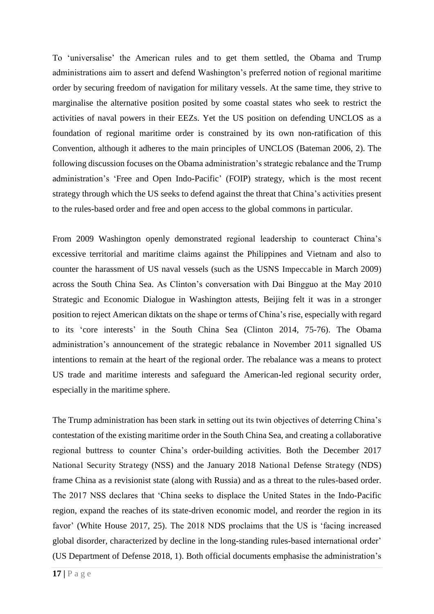To 'universalise' the American rules and to get them settled, the Obama and Trump administrations aim to assert and defend Washington's preferred notion of regional maritime order by securing freedom of navigation for military vessels. At the same time, they strive to marginalise the alternative position posited by some coastal states who seek to restrict the activities of naval powers in their EEZs. Yet the US position on defending UNCLOS as a foundation of regional maritime order is constrained by its own non-ratification of this Convention, although it adheres to the main principles of UNCLOS (Bateman 2006, 2). The following discussion focuses on the Obama administration's strategic rebalance and the Trump administration's 'Free and Open Indo-Pacific' (FOIP) strategy, which is the most recent strategy through which the US seeks to defend against the threat that China's activities present to the rules-based order and free and open access to the global commons in particular.

From 2009 Washington openly demonstrated regional leadership to counteract China's excessive territorial and maritime claims against the Philippines and Vietnam and also to counter the harassment of US naval vessels (such as the USNS Impeccable in March 2009) across the South China Sea. As Clinton's conversation with Dai Bingguo at the May 2010 Strategic and Economic Dialogue in Washington attests, Beijing felt it was in a stronger position to reject American diktats on the shape or terms of China's rise, especially with regard to its 'core interests' in the South China Sea (Clinton 2014, 75-76). The Obama administration's announcement of the strategic rebalance in November 2011 signalled US intentions to remain at the heart of the regional order. The rebalance was a means to protect US trade and maritime interests and safeguard the American-led regional security order, especially in the maritime sphere.

The Trump administration has been stark in setting out its twin objectives of deterring China's contestation of the existing maritime order in the South China Sea, and creating a collaborative regional buttress to counter China's order-building activities. Both the December 2017 National Security Strategy (NSS) and the January 2018 National Defense Strategy (NDS) frame China as a revisionist state (along with Russia) and as a threat to the rules-based order. The 2017 NSS declares that 'China seeks to displace the United States in the Indo-Pacific region, expand the reaches of its state-driven economic model, and reorder the region in its favor' (White House 2017, 25). The 2018 NDS proclaims that the US is 'facing increased global disorder, characterized by decline in the long-standing rules-based international order' (US Department of Defense 2018, 1). Both official documents emphasise the administration's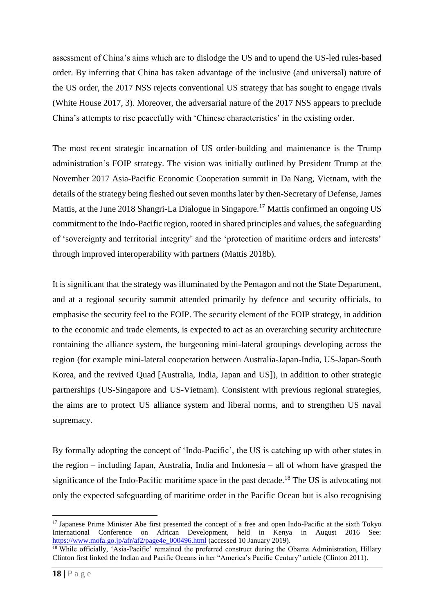assessment of China's aims which are to dislodge the US and to upend the US-led rules-based order. By inferring that China has taken advantage of the inclusive (and universal) nature of the US order, the 2017 NSS rejects conventional US strategy that has sought to engage rivals (White House 2017, 3). Moreover, the adversarial nature of the 2017 NSS appears to preclude China's attempts to rise peacefully with 'Chinese characteristics' in the existing order.

The most recent strategic incarnation of US order-building and maintenance is the Trump administration's FOIP strategy. The vision was initially outlined by President Trump at the November 2017 Asia-Pacific Economic Cooperation summit in Da Nang, Vietnam, with the details of the strategy being fleshed out seven months later by then-Secretary of Defense, James Mattis, at the June 2018 Shangri-La Dialogue in Singapore.<sup>17</sup> Mattis confirmed an ongoing US commitment to the Indo-Pacific region, rooted in shared principles and values, the safeguarding of 'sovereignty and territorial integrity' and the 'protection of maritime orders and interests' through improved interoperability with partners (Mattis 2018b).

It is significant that the strategy was illuminated by the Pentagon and not the State Department, and at a regional security summit attended primarily by defence and security officials, to emphasise the security feel to the FOIP. The security element of the FOIP strategy, in addition to the economic and trade elements, is expected to act as an overarching security architecture containing the alliance system, the burgeoning mini-lateral groupings developing across the region (for example mini-lateral cooperation between Australia-Japan-India, US-Japan-South Korea, and the revived Quad [Australia, India, Japan and US]), in addition to other strategic partnerships (US-Singapore and US-Vietnam). Consistent with previous regional strategies, the aims are to protect US alliance system and liberal norms, and to strengthen US naval supremacy.

By formally adopting the concept of 'Indo-Pacific', the US is catching up with other states in the region – including Japan, Australia, India and Indonesia – all of whom have grasped the significance of the Indo-Pacific maritime space in the past decade.<sup>18</sup> The US is advocating not only the expected safeguarding of maritime order in the Pacific Ocean but is also recognising

<sup>&</sup>lt;sup>17</sup> Japanese Prime Minister Abe first presented the concept of a free and open Indo-Pacific at the sixth Tokyo International Conference on African Development, held in Kenya in August 2016 See: [https://www.mofa.go.jp/afr/af2/page4e\\_000496.html](https://www.mofa.go.jp/afr/af2/page4e_000496.html) (accessed 10 January 2019).

<sup>&</sup>lt;sup>18</sup> While officially, 'Asia-Pacific' remained the preferred construct during the Obama Administration, Hillary Clinton first linked the Indian and Pacific Oceans in her "America's Pacific Century" article (Clinton 2011).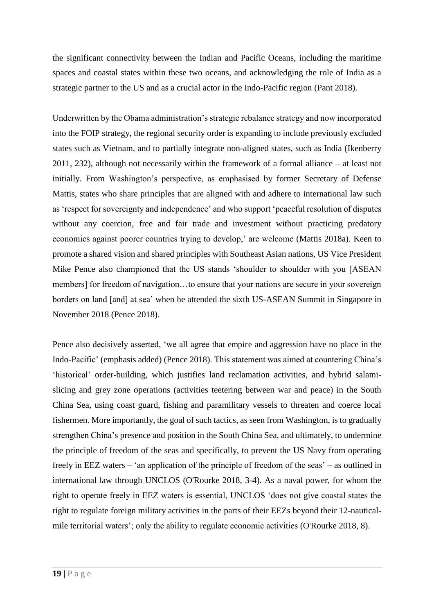the significant connectivity between the Indian and Pacific Oceans, including the maritime spaces and coastal states within these two oceans, and acknowledging the role of India as a strategic partner to the US and as a crucial actor in the Indo-Pacific region (Pant 2018).

Underwritten by the Obama administration's strategic rebalance strategy and now incorporated into the FOIP strategy, the regional security order is expanding to include previously excluded states such as Vietnam, and to partially integrate non-aligned states, such as India (Ikenberry 2011, 232), although not necessarily within the framework of a formal alliance – at least not initially. From Washington's perspective, as emphasised by former Secretary of Defense Mattis, states who share principles that are aligned with and adhere to international law such as 'respect for sovereignty and independence' and who support 'peaceful resolution of disputes without any coercion, free and fair trade and investment without practicing predatory economics against poorer countries trying to develop,' are welcome (Mattis 2018a). Keen to promote a shared vision and shared principles with Southeast Asian nations, US Vice President Mike Pence also championed that the US stands 'shoulder to shoulder with you [ASEAN members] for freedom of navigation…to ensure that your nations are secure in your sovereign borders on land [and] at sea' when he attended the sixth US-ASEAN Summit in Singapore in November 2018 (Pence 2018).

Pence also decisively asserted, 'we all agree that empire and aggression have no place in the Indo-Pacific' (emphasis added) (Pence 2018). This statement was aimed at countering China's 'historical' order-building, which justifies land reclamation activities, and hybrid salamislicing and grey zone operations (activities teetering between war and peace) in the South China Sea, using coast guard, fishing and paramilitary vessels to threaten and coerce local fishermen. More importantly, the goal of such tactics, as seen from Washington, is to gradually strengthen China's presence and position in the South China Sea, and ultimately, to undermine the principle of freedom of the seas and specifically, to prevent the US Navy from operating freely in EEZ waters – 'an application of the principle of freedom of the seas' – as outlined in international law through UNCLOS (O'Rourke 2018, 3-4). As a naval power, for whom the right to operate freely in EEZ waters is essential, UNCLOS 'does not give coastal states the right to regulate foreign military activities in the parts of their EEZs beyond their 12-nauticalmile territorial waters'; only the ability to regulate economic activities (O'Rourke 2018, 8).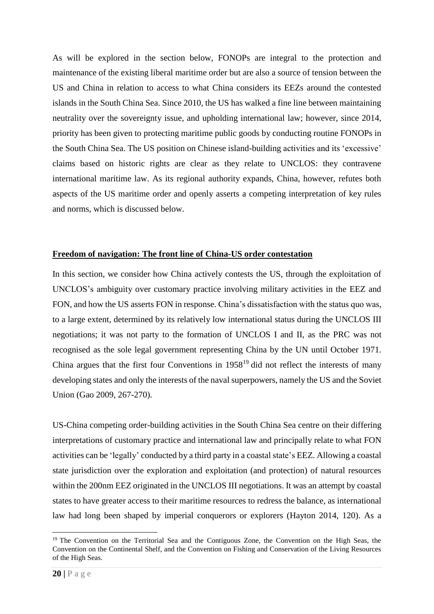As will be explored in the section below, FONOPs are integral to the protection and maintenance of the existing liberal maritime order but are also a source of tension between the US and China in relation to access to what China considers its EEZs around the contested islands in the South China Sea. Since 2010, the US has walked a fine line between maintaining neutrality over the sovereignty issue, and upholding international law; however, since 2014, priority has been given to protecting maritime public goods by conducting routine FONOPs in the South China Sea. The US position on Chinese island-building activities and its 'excessive' claims based on historic rights are clear as they relate to UNCLOS: they contravene international maritime law. As its regional authority expands, China, however, refutes both aspects of the US maritime order and openly asserts a competing interpretation of key rules and norms, which is discussed below.

#### **Freedom of navigation: The front line of China-US order contestation**

In this section, we consider how China actively contests the US, through the exploitation of UNCLOS's ambiguity over customary practice involving military activities in the EEZ and FON, and how the US asserts FON in response. China's dissatisfaction with the status quo was, to a large extent, determined by its relatively low international status during the UNCLOS III negotiations; it was not party to the formation of UNCLOS I and II, as the PRC was not recognised as the sole legal government representing China by the UN until October 1971. China argues that the first four Conventions in  $1958<sup>19</sup>$  did not reflect the interests of many developing states and only the interests of the naval superpowers, namely the US and the Soviet Union (Gao 2009, 267-270).

US-China competing order-building activities in the South China Sea centre on their differing interpretations of customary practice and international law and principally relate to what FON activities can be 'legally' conducted by a third party in a coastal state's EEZ. Allowing a coastal state jurisdiction over the exploration and exploitation (and protection) of natural resources within the 200nm EEZ originated in the UNCLOS III negotiations. It was an attempt by coastal states to have greater access to their maritime resources to redress the balance, as international law had long been shaped by imperial conquerors or explorers (Hayton 2014, 120). As a

<sup>19</sup> The Convention on the Territorial Sea and the Contiguous Zone, the Convention on the High Seas, the Convention on the Continental Shelf, and the Convention on Fishing and Conservation of the Living Resources of the High Seas.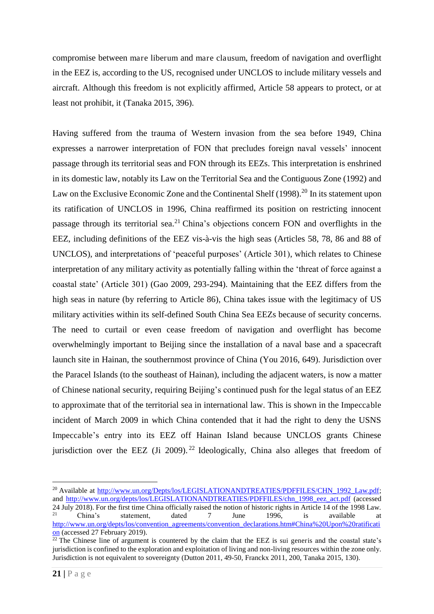compromise between mare liberum and mare clausum, freedom of navigation and overflight in the EEZ is, according to the US, recognised under UNCLOS to include military vessels and aircraft. Although this freedom is not explicitly affirmed, Article 58 appears to protect, or at least not prohibit, it (Tanaka 2015, 396).

Having suffered from the trauma of Western invasion from the sea before 1949, China expresses a narrower interpretation of FON that precludes foreign naval vessels' innocent passage through its territorial seas and FON through its EEZs. This interpretation is enshrined in its domestic law, notably its Law on the Territorial Sea and the Contiguous Zone (1992) and Law on the Exclusive Economic Zone and the Continental Shelf  $(1998)$ <sup>20</sup> In its statement upon its ratification of UNCLOS in 1996, China reaffirmed its position on restricting innocent passage through its territorial sea.<sup>21</sup> China's objections concern FON and overflights in the EEZ, including definitions of the EEZ vis-à-vis the high seas (Articles 58, 78, 86 and 88 of UNCLOS), and interpretations of 'peaceful purposes' (Article 301), which relates to Chinese interpretation of any military activity as potentially falling within the 'threat of force against a coastal state' (Article 301) (Gao 2009, 293-294). Maintaining that the EEZ differs from the high seas in nature (by referring to Article 86), China takes issue with the legitimacy of US military activities within its self-defined South China Sea EEZs because of security concerns. The need to curtail or even cease freedom of navigation and overflight has become overwhelmingly important to Beijing since the installation of a naval base and a spacecraft launch site in Hainan, the southernmost province of China (You 2016, 649). Jurisdiction over the Paracel Islands (to the southeast of Hainan), including the adjacent waters, is now a matter of Chinese national security, requiring Beijing's continued push for the legal status of an EEZ to approximate that of the territorial sea in international law. This is shown in the Impeccable incident of March 2009 in which China contended that it had the right to deny the USNS Impeccable's entry into its EEZ off Hainan Island because UNCLOS grants Chinese jurisdiction over the EEZ (Ji 2009).<sup>22</sup> Ideologically, China also alleges that freedom of

<sup>&</sup>lt;sup>20</sup> Available at [http://www.un.org/Depts/los/LEGISLATIONANDTREATIES/PDFFILES/CHN\\_1992\\_Law.pdf;](http://www.un.org/Depts/los/LEGISLATIONANDTREATIES/PDFFILES/CHN_1992_Law.pdf) and [http://www.un.org/depts/los/LEGISLATIONANDTREATIES/PDFFILES/chn\\_1998\\_eez\\_act.pdf](http://www.un.org/depts/los/LEGISLATIONANDTREATIES/PDFFILES/chn_1998_eez_act.pdf) (accessed 24 July 2018). For the first time China officially raised the notion of historic rights in Article 14 of the 1998 Law.<br>China's statement dated 7 June 1996 is available at  $21$  China's statement, dated 7 June 1996, is available at [http://www.un.org/depts/los/convention\\_agreements/convention\\_declarations.htm#China%20Upon%20ratificati](http://www.un.org/depts/los/convention_agreements/convention_declarations.htm#China%20Upon%20ratification) [on](http://www.un.org/depts/los/convention_agreements/convention_declarations.htm#China%20Upon%20ratification) (accessed 27 February 2019).

 $22$  The Chinese line of argument is countered by the claim that the EEZ is sui generis and the coastal state's jurisdiction is confined to the exploration and exploitation of living and non-living resources within the zone only. Jurisdiction is not equivalent to sovereignty (Dutton 2011, 49-50, Franckx 2011, 200, Tanaka 2015, 130).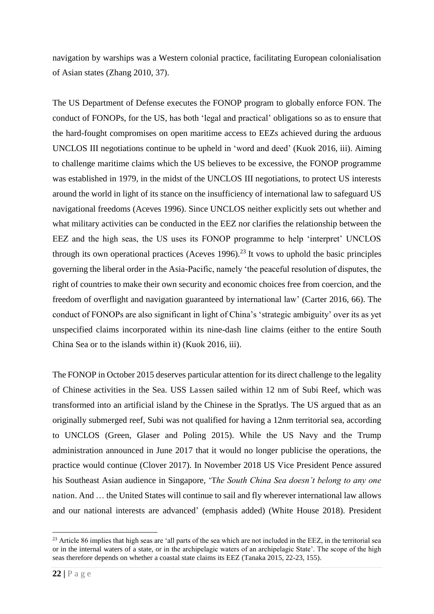navigation by warships was a Western colonial practice, facilitating European colonialisation of Asian states (Zhang 2010, 37).

The US Department of Defense executes the FONOP program to globally enforce FON. The conduct of FONOPs, for the US, has both 'legal and practical' obligations so as to ensure that the hard-fought compromises on open maritime access to EEZs achieved during the arduous UNCLOS III negotiations continue to be upheld in 'word and deed' (Kuok 2016, iii). Aiming to challenge maritime claims which the US believes to be excessive, the FONOP programme was established in 1979, in the midst of the UNCLOS III negotiations, to protect US interests around the world in light of its stance on the insufficiency of international law to safeguard US navigational freedoms (Aceves 1996). Since UNCLOS neither explicitly sets out whether and what military activities can be conducted in the EEZ nor clarifies the relationship between the EEZ and the high seas, the US uses its FONOP programme to help 'interpret' UNCLOS through its own operational practices (Aceves 1996).<sup>23</sup> It vows to uphold the basic principles governing the liberal order in the Asia-Pacific, namely 'the peaceful resolution of disputes, the right of countries to make their own security and economic choices free from coercion, and the freedom of overflight and navigation guaranteed by international law' (Carter 2016, 66). The conduct of FONOPs are also significant in light of China's 'strategic ambiguity' over its as yet unspecified claims incorporated within its nine-dash line claims (either to the entire South China Sea or to the islands within it) (Kuok 2016, iii).

The FONOP in October 2015 deserves particular attention for its direct challenge to the legality of Chinese activities in the Sea. USS Lassen sailed within 12 nm of Subi Reef, which was transformed into an artificial island by the Chinese in the Spratlys. The US argued that as an originally submerged reef, Subi was not qualified for having a 12nm territorial sea, according to UNCLOS (Green, Glaser and Poling 2015). While the US Navy and the Trump administration announced in June 2017 that it would no longer publicise the operations, the practice would continue (Clover 2017). In November 2018 US Vice President Pence assured his Southeast Asian audience in Singapore, 'T*he South China Sea doesn't belong to any one*  nation. And … the United States will continue to sail and fly wherever international law allows and our national interests are advanced' (emphasis added) (White House 2018). President

 $^{23}$  Article 86 implies that high seas are 'all parts of the sea which are not included in the EEZ, in the territorial sea or in the internal waters of a state, or in the archipelagic waters of an archipelagic State'. The scope of the high seas therefore depends on whether a coastal state claims its EEZ (Tanaka 2015, 22-23, 155).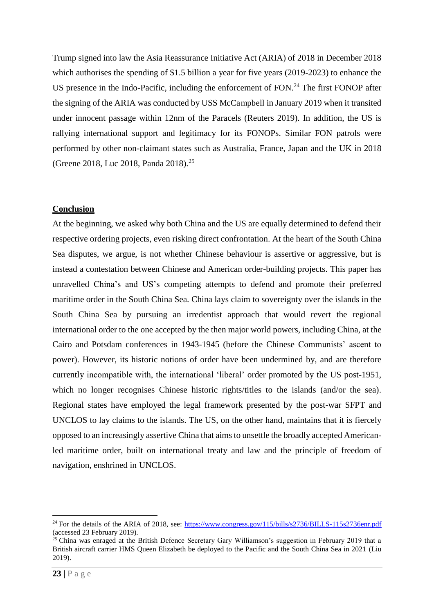Trump signed into law the Asia Reassurance Initiative Act (ARIA) of 2018 in December 2018 which authorises the spending of \$1.5 billion a year for five years (2019-2023) to enhance the US presence in the Indo-Pacific, including the enforcement of FON.<sup>24</sup> The first FONOP after the signing of the ARIA was conducted by USS McCampbell in January 2019 when it transited under innocent passage within 12nm of the Paracels (Reuters 2019). In addition, the US is rallying international support and legitimacy for its FONOPs. Similar FON patrols were performed by other non-claimant states such as Australia, France, Japan and the UK in 2018 (Greene 2018, Luc 2018, Panda 2018).<sup>25</sup>

#### **Conclusion**

At the beginning, we asked why both China and the US are equally determined to defend their respective ordering projects, even risking direct confrontation. At the heart of the South China Sea disputes, we argue, is not whether Chinese behaviour is assertive or aggressive, but is instead a contestation between Chinese and American order-building projects. This paper has unravelled China's and US's competing attempts to defend and promote their preferred maritime order in the South China Sea. China lays claim to sovereignty over the islands in the South China Sea by pursuing an irredentist approach that would revert the regional international order to the one accepted by the then major world powers, including China, at the Cairo and Potsdam conferences in 1943-1945 (before the Chinese Communists' ascent to power). However, its historic notions of order have been undermined by, and are therefore currently incompatible with, the international 'liberal' order promoted by the US post-1951, which no longer recognises Chinese historic rights/titles to the islands (and/or the sea). Regional states have employed the legal framework presented by the post-war SFPT and UNCLOS to lay claims to the islands. The US, on the other hand, maintains that it is fiercely opposed to an increasingly assertive China that aims to unsettle the broadly accepted Americanled maritime order, built on international treaty and law and the principle of freedom of navigation, enshrined in UNCLOS.

<sup>&</sup>lt;sup>24</sup> For the details of the ARIA of 2018, see:<https://www.congress.gov/115/bills/s2736/BILLS-115s2736enr.pdf> (accessed 23 February 2019).

<sup>&</sup>lt;sup>25</sup> China was enraged at the British Defence Secretary Gary Williamson's suggestion in February 2019 that a British aircraft carrier HMS Queen Elizabeth be deployed to the Pacific and the South China Sea in 2021 (Liu 2019).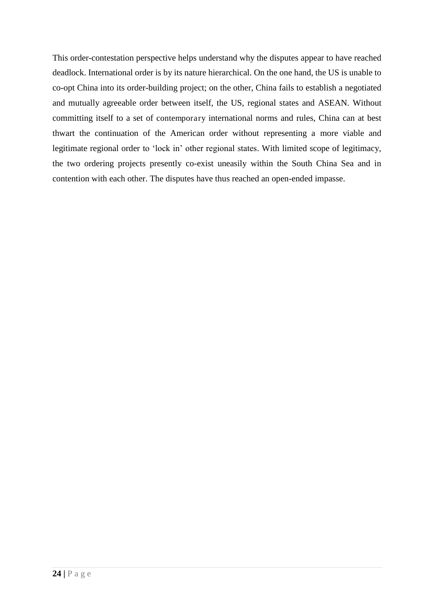This order-contestation perspective helps understand why the disputes appear to have reached deadlock. International order is by its nature hierarchical. On the one hand, the US is unable to co-opt China into its order-building project; on the other, China fails to establish a negotiated and mutually agreeable order between itself, the US, regional states and ASEAN. Without committing itself to a set of contemporary international norms and rules, China can at best thwart the continuation of the American order without representing a more viable and legitimate regional order to 'lock in' other regional states. With limited scope of legitimacy, the two ordering projects presently co-exist uneasily within the South China Sea and in contention with each other. The disputes have thus reached an open-ended impasse.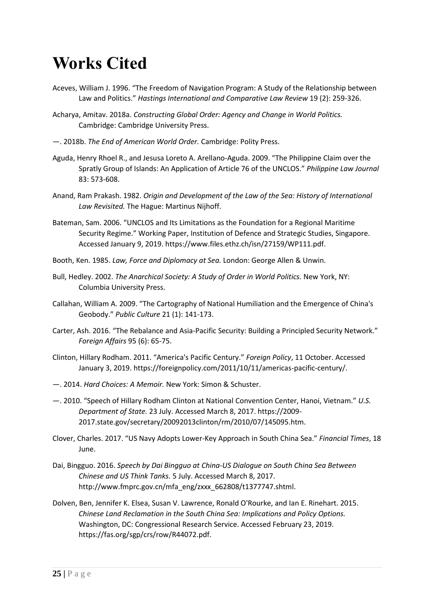# **Works Cited**

- Aceves, William J. 1996. "The Freedom of Navigation Program: A Study of the Relationship between Law and Politics." Hastings International and Comparative Law Review 19 (2): 259-326.
- Acharya, Amitav. 2018a. Constructing Global Order: Agency and Change in World Politics. Cambridge: Cambridge University Press.
- 2018b. The End of American World Order. Cambridge: Polity Press.
- Aguda, Henry Rhoel R., and Jesusa Loreto A. Arellano-Aguda. 2009. "The Philippine Claim over the Spratly Group of Islands: An Application of Article 76 of the UNCLOS." Philippine Law Journal 83: 573-608.
- Anand, Ram Prakash. 1982. Origin and Development of the Law of the Sea: History of International Law Revisited. The Hague: Martinus Nijhoff.
- Bateman, Sam. 2006. "UNCLOS and Its Limitations as the Foundation for a Regional Maritime Security Regime." Working Paper, Institution of Defence and Strategic Studies, Singapore. Accessed January 9, 2019. https://www.files.ethz.ch/isn/27159/WP111.pdf.
- Booth, Ken. 1985. Law, Force and Diplomacy at Sea. London: George Allen & Unwin.
- Bull, Hedley. 2002. The Anarchical Society: A Study of Order in World Politics. New York, NY: Columbia University Press.
- Callahan, William A. 2009. "The Cartography of National Humiliation and the Emergence of China's Geobody." Public Culture 21 (1): 141-173.
- Carter, Ash. 2016. "The Rebalance and Asia-Pacific Security: Building a Principled Security Network." Foreign Affairs 95 (6): 65-75.
- Clinton, Hillary Rodham. 2011. "America's Pacific Century." Foreign Policy, 11 October. Accessed January 3, 2019. https://foreignpolicy.com/2011/10/11/americas-pacific-century/.
- -. 2014. Hard Choices: A Memoir. New York: Simon & Schuster.
- 2010. "Speech of Hillary Rodham Clinton at National Convention Center, Hanoi, Vietnam." U.S. Department of State. 23 July. Accessed March 8, 2017. https://2009-2017.state.gov/secretary/20092013clinton/rm/2010/07/145095.htm.
- Clover, Charles. 2017. "US Navy Adopts Lower-Key Approach in South China Sea." Financial Times, 18 June.
- Dai, Bingguo. 2016. Speech by Dai Bingguo at China-US Dialogue on South China Sea Between Chinese and US Think Tanks. 5 July. Accessed March 8, 2017. http://www.fmprc.gov.cn/mfa\_eng/zxxx\_662808/t1377747.shtml.
- Dolven, Ben, Jennifer K. Elsea, Susan V. Lawrence, Ronald O'Rourke, and Ian E. Rinehart. 2015. Chinese Land Reclamation in the South China Sea: Implications and Policy Options. Washington, DC: Congressional Research Service. Accessed February 23, 2019. https://fas.org/sgp/crs/row/R44072.pdf.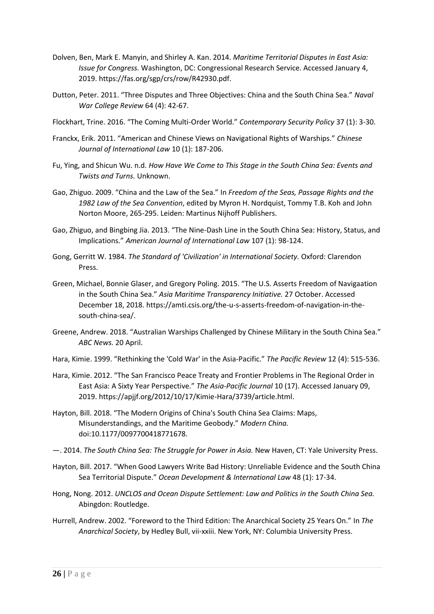- Dolven, Ben, Mark E. Manyin, and Shirley A. Kan. 2014. Maritime Territorial Disputes in East Asia: Issue for Congress. Washington, DC: Congressional Research Service. Accessed January 4, 2019. https://fas.org/sgp/crs/row/R42930.pdf.
- Dutton, Peter. 2011. "Three Disputes and Three Objectives: China and the South China Sea." Naval War College Review 64 (4): 42-67.
- Flockhart, Trine. 2016. "The Coming Multi-Order World." Contemporary Security Policy 37 (1): 3-30.
- Franckx, Erik. 2011. "American and Chinese Views on Navigational Rights of Warships." Chinese Journal of International Law 10 (1): 187-206.
- Fu. Ying, and Shicun Wu, n.d. How Have We Come to This Stage in the South Ching Seg: Events and Twists and Turns. Unknown.
- Gao, Zhiguo. 2009. "China and the Law of the Sea." In Freedom of the Seas, Passage Rights and the 1982 Law of the Sea Convention, edited by Myron H. Nordquist, Tommy T.B. Koh and John Norton Moore, 265-295. Leiden: Martinus Nijhoff Publishers.
- Gao, Zhiguo, and Bingbing Jia. 2013. "The Nine-Dash Line in the South China Sea: History, Status, and Implications." American Journal of International Law 107 (1): 98-124.
- Gong, Gerritt W. 1984. The Standard of 'Civilization' in International Society. Oxford: Clarendon Press.
- Green, Michael, Bonnie Glaser, and Gregory Poling. 2015. "The U.S. Asserts Freedom of Navigaation in the South China Sea." Asia Maritime Transparency Initiative, 27 October, Accessed December 18, 2018. https://amti.csis.org/the-u-s-asserts-freedom-of-navigation-in-thesouth-china-sea/.
- Greene, Andrew. 2018. "Australian Warships Challenged by Chinese Military in the South China Sea." ABC News. 20 April.
- Hara, Kimie. 1999. "Rethinking the 'Cold War' in the Asia-Pacific." The Pacific Review 12 (4): 515-536.
- Hara, Kimie. 2012. "The San Francisco Peace Treaty and Frontier Problems in The Regional Order in East Asia: A Sixty Year Perspective." The Asia-Pacific Journal 10 (17). Accessed January 09, 2019. https://apijf.org/2012/10/17/Kimie-Hara/3739/article.html.
- Hayton, Bill. 2018. "The Modern Origins of China's South China Sea Claims: Maps, Misunderstandings, and the Maritime Geobody." Modern China. doi:10.1177/0097700418771678.
- 2014. The South China Sea: The Struggle for Power in Asia. New Haven, CT: Yale University Press.
- Hayton, Bill. 2017. "When Good Lawyers Write Bad History: Unreliable Evidence and the South China Sea Territorial Dispute." Ocean Development & International Law 48 (1): 17-34.
- Hong, Nong. 2012. UNCLOS and Ocean Dispute Settlement: Law and Politics in the South China Sea. Abingdon: Routledge.
- Hurrell, Andrew. 2002. "Foreword to the Third Edition: The Anarchical Society 25 Years On." In The Anarchical Society, by Hedley Bull, vii-xxiii. New York, NY: Columbia University Press.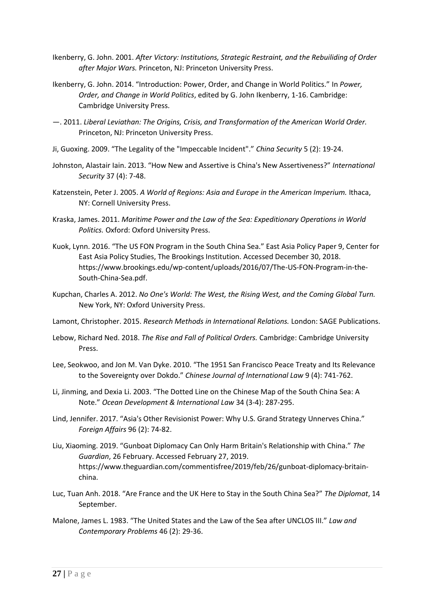- Ikenberry, G. John. 2001. After Victory: Institutions, Strategic Restraint, and the Rebuiliding of Order after Major Wars. Princeton, NJ: Princeton University Press.
- Ikenberry, G. John. 2014. "Introduction: Power, Order, and Change in World Politics." In Power, Order, and Change in World Politics, edited by G. John Ikenberry, 1-16. Cambridge: Cambridge University Press.
- 2011. Liberal Leviathan: The Origins, Crisis, and Transformation of the American World Order. Princeton, NJ: Princeton University Press.
- Ji. Guoxing, 2009. "The Legality of the "Impeccable Incident"." Ching Security 5 (2): 19-24.
- Johnston, Alastair Jain, 2013. "How New and Assertive is China's New Assertiveness?" International Security 37 (4): 7-48.
- Katzenstein, Peter J. 2005. A World of Regions: Asia and Europe in the American Imperium. Ithaca, NY: Cornell University Press.
- Kraska, James. 2011. Maritime Power and the Law of the Sea: Expeditionary Operations in World Politics. Oxford: Oxford University Press.
- Kuok, Lynn. 2016. "The US FON Program in the South China Sea." East Asia Policy Paper 9, Center for East Asia Policy Studies, The Brookings Institution. Accessed December 30, 2018. https://www.brookings.edu/wp-content/uploads/2016/07/The-US-FON-Program-in-the-South-China-Sea.pdf.
- Kupchan, Charles A. 2012. No One's World: The West, the Rising West, and the Coming Global Turn. New York, NY: Oxford University Press.
- Lamont, Christopher. 2015. Research Methods in International Relations. London: SAGE Publications.
- Lebow, Richard Ned. 2018. The Rise and Fall of Political Orders. Cambridge: Cambridge University Press.
- Lee, Seokwoo, and Jon M. Van Dyke. 2010. "The 1951 San Francisco Peace Treaty and Its Relevance to the Sovereignty over Dokdo." Chinese Journal of International Law 9 (4): 741-762.
- Li, Jinming, and Dexia Li. 2003. "The Dotted Line on the Chinese Map of the South China Sea: A Note." Ocean Development & International Law 34 (3-4): 287-295.
- Lind, Jennifer. 2017. "Asia's Other Revisionist Power: Why U.S. Grand Strategy Unnerves China." Foreign Affairs 96 (2): 74-82.
- Liu, Xiaoming. 2019. "Gunboat Diplomacy Can Only Harm Britain's Relationship with China." The Guardian, 26 February. Accessed February 27, 2019. https://www.theguardian.com/commentisfree/2019/feb/26/gunboat-diplomacy-britainchina.
- Luc, Tuan Anh. 2018. "Are France and the UK Here to Stay in the South China Sea?" The Diplomat, 14 September.
- Malone, James L. 1983. "The United States and the Law of the Sea after UNCLOS III." Law and Contemporary Problems 46 (2): 29-36.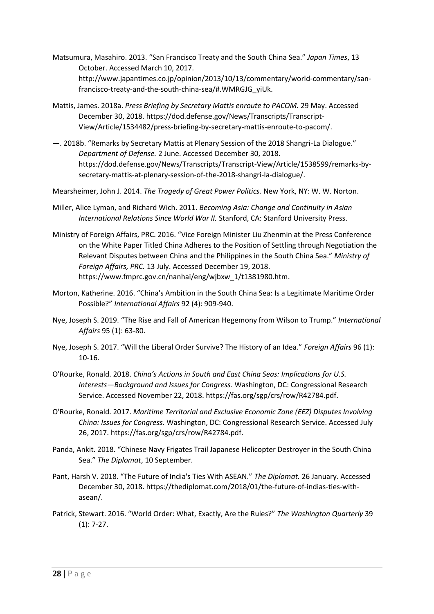- Matsumura, Masahiro. 2013. "San Francisco Treaty and the South China Sea." Japan Times, 13 October. Accessed March 10, 2017. http://www.japantimes.co.jp/opinion/2013/10/13/commentary/world-commentary/sanfrancisco-treaty-and-the-south-china-sea/#.WMRGJG yiUk.
- Mattis, James. 2018a. Press Briefing by Secretary Mattis enroute to PACOM. 29 May. Accessed December 30, 2018. https://dod.defense.gov/News/Transcripts/Transcript-View/Article/1534482/press-briefing-by-secretary-mattis-enroute-to-pacom/.
- 2018b. "Remarks by Secretary Mattis at Plenary Session of the 2018 Shangri-La Dialogue." Department of Defense. 2 June. Accessed December 30, 2018. https://dod.defense.gov/News/Transcripts/Transcript-View/Article/1538599/remarks-bysecretary-mattis-at-plenary-session-of-the-2018-shangri-la-dialogue/.
- Mearsheimer, John J. 2014. The Tragedy of Great Power Politics. New York, NY: W. W. Norton.
- Miller, Alice Lyman, and Richard Wich. 2011. Becoming Asia: Change and Continuity in Asian International Relations Since World War II. Stanford, CA: Stanford University Press.
- Ministry of Foreign Affairs, PRC. 2016. "Vice Foreign Minister Liu Zhenmin at the Press Conference on the White Paper Titled China Adheres to the Position of Settling through Negotiation the Relevant Disputes between China and the Philippines in the South China Sea." Ministry of Foreign Affairs, PRC. 13 July. Accessed December 19, 2018. https://www.fmprc.gov.cn/nanhai/eng/wjbxw 1/t1381980.htm.
- Morton, Katherine. 2016. "China's Ambition in the South China Sea: Is a Legitimate Maritime Order Possible?" International Affairs 92 (4): 909-940.
- Nye, Joseph S. 2019. "The Rise and Fall of American Hegemony from Wilson to Trump." International Affairs 95 (1): 63-80.
- Nye, Joseph S. 2017. "Will the Liberal Order Survive? The History of an Idea." Foreign Affairs 96 (1):  $10-16.$
- O'Rourke, Ronald. 2018. China's Actions in South and East China Seas: Implications for U.S. Interests-Background and Issues for Congress. Washington, DC: Congressional Research Service. Accessed November 22, 2018. https://fas.org/sgp/crs/row/R42784.pdf.
- O'Rourke, Ronald. 2017. Maritime Territorial and Exclusive Economic Zone (EEZ) Disputes Involving China: Issues for Congress. Washington, DC: Congressional Research Service. Accessed July 26, 2017. https://fas.org/sgp/crs/row/R42784.pdf.
- Panda, Ankit. 2018. "Chinese Navy Frigates Trail Japanese Helicopter Destroyer in the South China Sea." The Diplomat, 10 September.
- Pant, Harsh V. 2018. "The Future of India's Ties With ASEAN." The Diplomat. 26 January. Accessed December 30, 2018. https://thediplomat.com/2018/01/the-future-of-indias-ties-withasean/.
- Patrick, Stewart. 2016. "World Order: What, Exactly, Are the Rules?" The Washington Quarterly 39  $(1): 7-27.$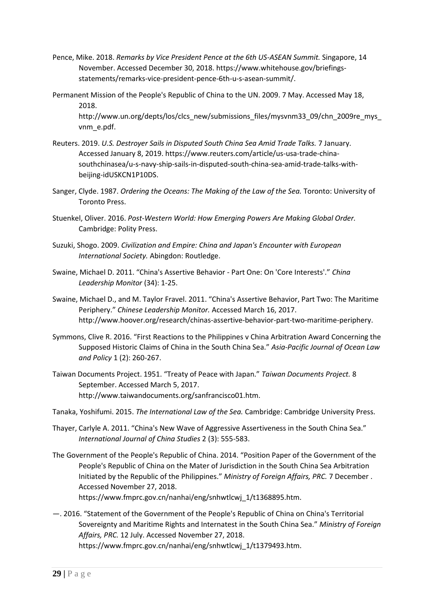- Pence, Mike. 2018. Remarks by Vice President Pence at the 6th US-ASEAN Summit. Singapore, 14 November. Accessed December 30, 2018. https://www.whitehouse.gov/briefingsstatements/remarks-vice-president-pence-6th-u-s-asean-summit/.
- Permanent Mission of the People's Republic of China to the UN. 2009. 7 May. Accessed May 18, 2018.

http://www.un.org/depts/los/clcs\_new/submissions\_files/mysvnm33\_09/chn\_2009re\_mys vnm e.pdf.

- Reuters. 2019. U.S. Destroyer Sails in Disputed South China Sea Amid Trade Talks. 7 January. Accessed January 8, 2019. https://www.reuters.com/article/us-usa-trade-chinasouthchinasea/u-s-navy-ship-sails-in-disputed-south-china-sea-amid-trade-talks-withbeijing-idUSKCN1P10DS.
- Sanger, Clyde. 1987. Ordering the Oceans: The Making of the Law of the Sea. Toronto: University of Toronto Press.
- Stuenkel, Oliver. 2016. Post-Western World: How Emerging Powers Are Making Global Order. Cambridge: Polity Press.
- Suzuki, Shogo, 2009, Civilization and Empire: China and Japan's Encounter with European International Society. Abingdon: Routledge.
- Swaine, Michael D. 2011. "China's Assertive Behavior Part One: On 'Core Interests'." China Leadership Monitor (34): 1-25.
- Swaine, Michael D., and M. Taylor Fravel. 2011. "China's Assertive Behavior, Part Two: The Maritime Periphery." Chinese Leadership Monitor. Accessed March 16, 2017. http://www.hoover.org/research/chinas-assertive-behavior-part-two-maritime-periphery.
- Symmons, Clive R. 2016. "First Reactions to the Philippines v China Arbitration Award Concerning the Supposed Historic Claims of China in the South China Sea." Asia-Pacific Journal of Ocean Law and Policy 1 (2): 260-267.
- Taiwan Documents Project. 1951. "Treaty of Peace with Japan." Taiwan Documents Project. 8 September. Accessed March 5, 2017. http://www.taiwandocuments.org/sanfrancisco01.htm.
- Tanaka, Yoshifumi. 2015. The International Law of the Sea. Cambridge: Cambridge University Press.
- Thayer, Carlyle A. 2011. "China's New Wave of Aggressive Assertiveness in the South China Sea." International Journal of China Studies 2 (3): 555-583.
- The Government of the People's Republic of China. 2014. "Position Paper of the Government of the People's Republic of China on the Mater of Jurisdiction in the South China Sea Arbitration Initiated by the Republic of the Philippines." Ministry of Foreign Affairs, PRC. 7 December. Accessed November 27, 2018. https://www.fmprc.gov.cn/nanhai/eng/snhwtlcwj\_1/t1368895.htm.
- -. 2016. "Statement of the Government of the People's Republic of China on China's Territorial Sovereignty and Maritime Rights and Internatest in the South China Sea." Ministry of Foreign Affairs, PRC. 12 July. Accessed November 27, 2018. https://www.fmprc.gov.cn/nanhai/eng/snhwtlcwj\_1/t1379493.htm.